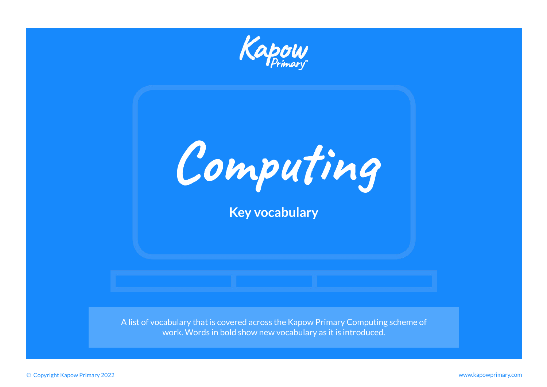

**Computing Key vocabulary**

A list of vocabulary that is covered across the Kapow Primary Computing scheme of work. Words in bold show new vocabulary as it is introduced.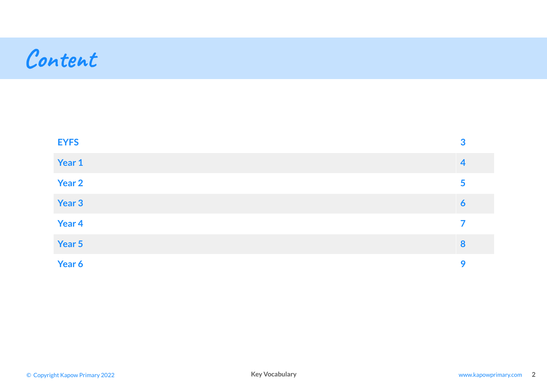## **Content**

| <b>EYFS</b> | 3              |
|-------------|----------------|
| Year 1      | $\overline{4}$ |
| Year 2      | 5              |
| Year 3      | 6              |
| Year 4      | 7              |
| Year 5      | 8              |
| Year 6      | 9              |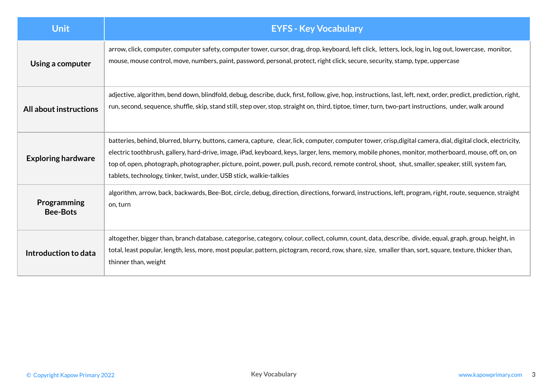<span id="page-2-0"></span>

| <b>Unit</b>                    | <b>EYFS - Key Vocabulary</b>                                                                                                                                                                                                                                                                                                                                                                                                                                                                                                                         |
|--------------------------------|------------------------------------------------------------------------------------------------------------------------------------------------------------------------------------------------------------------------------------------------------------------------------------------------------------------------------------------------------------------------------------------------------------------------------------------------------------------------------------------------------------------------------------------------------|
| Using a computer               | arrow, click, computer, computer safety, computer tower, cursor, drag, drop, keyboard, left click, letters, lock, log in, log out, lowercase, monitor,<br>mouse, mouse control, move, numbers, paint, password, personal, protect, right click, secure, security, stamp, type, uppercase                                                                                                                                                                                                                                                             |
| All about instructions         | adjective, algorithm, bend down, blindfold, debug, describe, duck, first, follow, give, hop, instructions, last, left, next, order, predict, prediction, right,<br>run, second, sequence, shuffle, skip, stand still, step over, stop, straight on, third, tiptoe, timer, turn, two-part instructions, under, walk around                                                                                                                                                                                                                            |
| <b>Exploring hardware</b>      | batteries, behind, blurred, blurry, buttons, camera, capture, clear, lick, computer, computer tower, crisp,digital camera, dial, digital clock, electricity,<br>electric toothbrush, gallery, hard-drive, image, iPad, keyboard, keys, larger, lens, memory, mobile phones, monitor, motherboard, mouse, off, on, on<br>top of, open, photograph, photographer, picture, point, power, pull, push, record, remote control, shoot, shut, smaller, speaker, still, system fan,<br>tablets, technology, tinker, twist, under, USB stick, walkie-talkies |
| Programming<br><b>Bee-Bots</b> | algorithm, arrow, back, backwards, Bee-Bot, circle, debug, direction, directions, forward, instructions, left, program, right, route, sequence, straight<br>on, turn                                                                                                                                                                                                                                                                                                                                                                                 |
| Introduction to data           | altogether, bigger than, branch database, categorise, category, colour, collect, column, count, data, describe, divide, equal, graph, group, height, in<br>total, least popular, length, less, more, most popular, pattern, pictogram, record, row, share, size, smaller than, sort, square, texture, thicker than,<br>thinner than, weight                                                                                                                                                                                                          |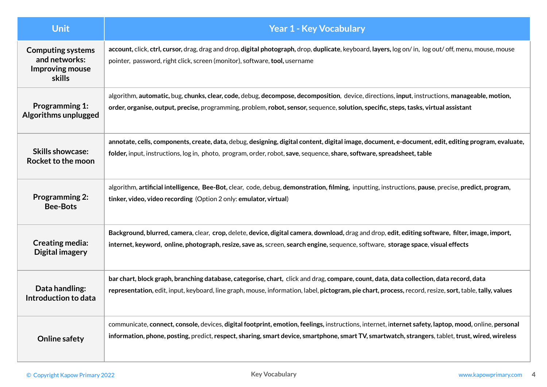<span id="page-3-0"></span>

| <b>Unit</b>                                                                   | <b>Year 1 - Key Vocabulary</b>                                                                                                                                                                                                                                                                             |
|-------------------------------------------------------------------------------|------------------------------------------------------------------------------------------------------------------------------------------------------------------------------------------------------------------------------------------------------------------------------------------------------------|
| <b>Computing systems</b><br>and networks:<br>Improving mouse<br><b>skills</b> | account, click, ctrl, cursor, drag, drag and drop, digital photograph, drop, duplicate, keyboard, layers, log on/in, log out/off, menu, mouse, mouse<br>pointer, password, right click, screen (monitor), software, tool, username                                                                         |
| <b>Programming 1:</b>                                                         | algorithm, automatic, bug, chunks, clear, code, debug, decompose, decomposition, device, directions, input, instructions, manageable, motion,                                                                                                                                                              |
| Algorithms unplugged                                                          | order, organise, output, precise, programming, problem, robot, sensor, sequence, solution, specific, steps, tasks, virtual assistant                                                                                                                                                                       |
| <b>Skills showcase:</b>                                                       | annotate, cells, components, create, data, debug, designing, digital content, digital image, document, e-document, edit, editing program, evaluate,                                                                                                                                                        |
| Rocket to the moon                                                            | folder, input, instructions, log in, photo, program, order, robot, save, sequence, share, software, spreadsheet, table                                                                                                                                                                                     |
| <b>Programming 2:</b>                                                         | algorithm, artificial intelligence, Bee-Bot, clear, code, debug, demonstration, filming, inputting, instructions, pause, precise, predict, program,                                                                                                                                                        |
| <b>Bee-Bots</b>                                                               | tinker, video, video recording (Option 2 only: emulator, virtual)                                                                                                                                                                                                                                          |
| <b>Creating media:</b>                                                        | Background, blurred, camera, clear, crop, delete, device, digital camera, download, drag and drop, edit, editing software, filter, image, import,                                                                                                                                                          |
| Digital imagery                                                               | internet, keyword, online, photograph, resize, save as, screen, search engine, sequence, software, storage space, visual effects                                                                                                                                                                           |
| Data handling:                                                                | bar chart, block graph, branching database, categorise, chart, click and drag, compare, count, data, data collection, data record, data                                                                                                                                                                    |
| Introduction to data                                                          | representation, edit, input, keyboard, line graph, mouse, information, label, pictogram, pie chart, process, record, resize, sort, table, tally, values                                                                                                                                                    |
| <b>Online safety</b>                                                          | communicate, connect, console, devices, digital footprint, emotion, feelings, instructions, internet, internet safety, laptop, mood, online, personal<br>information, phone, posting, predict, respect, sharing, smart device, smartphone, smart TV, smartwatch, strangers, tablet, trust, wired, wireless |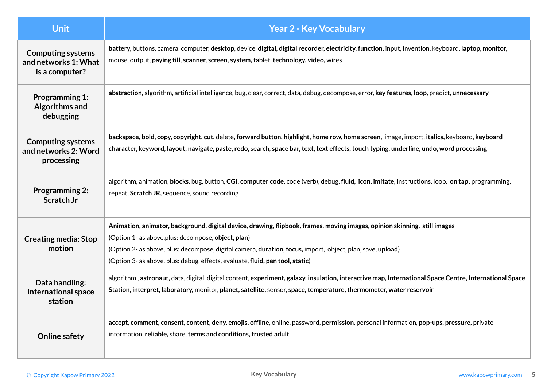<span id="page-4-0"></span>

| <b>Unit</b>                                                        | <b>Year 2 - Key Vocabulary</b>                                                                                                                                                                                                                                                                                                                                                  |
|--------------------------------------------------------------------|---------------------------------------------------------------------------------------------------------------------------------------------------------------------------------------------------------------------------------------------------------------------------------------------------------------------------------------------------------------------------------|
| <b>Computing systems</b><br>and networks 1: What<br>is a computer? | battery, buttons, camera, computer, desktop, device, digital, digital recorder, electricity, function, input, invention, keyboard, laptop, monitor,<br>mouse, output, paying till, scanner, screen, system, tablet, technology, video, wires                                                                                                                                    |
| <b>Programming 1:</b><br>Algorithms and<br>debugging               | abstraction, algorithm, artificial intelligence, bug, clear, correct, data, debug, decompose, error, key features, loop, predict, unnecessary                                                                                                                                                                                                                                   |
| <b>Computing systems</b><br>and networks 2: Word<br>processing     | backspace, bold, copy, copyright, cut, delete, forward button, highlight, home row, home screen, image, import, italics, keyboard, keyboard<br>character, keyword, layout, navigate, paste, redo, search, space bar, text, text effects, touch typing, underline, undo, word processing                                                                                         |
| <b>Programming 2:</b><br>Scratch Jr                                | algorithm, animation, blocks, bug, button, CGI, computer code, code (verb), debug, fluid, icon, imitate, instructions, loop, 'on tap', programming,<br>repeat, Scratch JR, sequence, sound recording                                                                                                                                                                            |
| <b>Creating media: Stop</b><br>motion                              | Animation, animator, background, digital device, drawing, flipbook, frames, moving images, opinion skinning, still images<br>(Option 1- as above, plus: decompose, object, plan)<br>(Option 2- as above, plus: decompose, digital camera, duration, focus, import, object, plan, save, upload)<br>(Option 3- as above, plus: debug, effects, evaluate, fluid, pen tool, static) |
| Data handling:<br><b>International space</b><br>station            | algorithm, astronaut, data, digital, digital content, experiment, galaxy, insulation, interactive map, International Space Centre, International Space<br>Station, interpret, laboratory, monitor, planet, satellite, sensor, space, temperature, thermometer, water reservoir                                                                                                  |
| <b>Online safety</b>                                               | accept, comment, consent, content, deny, emojis, offline, online, password, permission, personal information, pop-ups, pressure, private<br>information, reliable, share, terms and conditions, trusted adult                                                                                                                                                                   |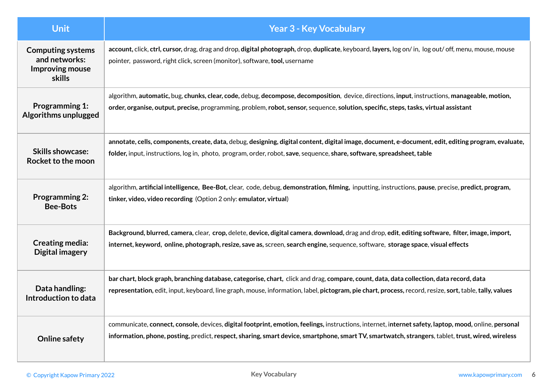<span id="page-5-0"></span>

| <b>Unit</b>                                                                   | <b>Year 3 - Key Vocabulary</b>                                                                                                                                                                                                                                                                             |
|-------------------------------------------------------------------------------|------------------------------------------------------------------------------------------------------------------------------------------------------------------------------------------------------------------------------------------------------------------------------------------------------------|
| <b>Computing systems</b><br>and networks:<br>Improving mouse<br><b>skills</b> | account, click, ctrl, cursor, drag, drag and drop, digital photograph, drop, duplicate, keyboard, layers, log on/in, log out/off, menu, mouse, mouse<br>pointer, password, right click, screen (monitor), software, tool, username                                                                         |
| <b>Programming 1:</b>                                                         | algorithm, automatic, bug, chunks, clear, code, debug, decompose, decomposition, device, directions, input, instructions, manageable, motion,                                                                                                                                                              |
| Algorithms unplugged                                                          | order, organise, output, precise, programming, problem, robot, sensor, sequence, solution, specific, steps, tasks, virtual assistant                                                                                                                                                                       |
| <b>Skills showcase:</b>                                                       | annotate, cells, components, create, data, debug, designing, digital content, digital image, document, e-document, edit, editing program, evaluate,                                                                                                                                                        |
| Rocket to the moon                                                            | folder, input, instructions, log in, photo, program, order, robot, save, sequence, share, software, spreadsheet, table                                                                                                                                                                                     |
| <b>Programming 2:</b>                                                         | algorithm, artificial intelligence, Bee-Bot, clear, code, debug, demonstration, filming, inputting, instructions, pause, precise, predict, program,                                                                                                                                                        |
| <b>Bee-Bots</b>                                                               | tinker, video, video recording (Option 2 only: emulator, virtual)                                                                                                                                                                                                                                          |
| <b>Creating media:</b>                                                        | Background, blurred, camera, clear, crop, delete, device, digital camera, download, drag and drop, edit, editing software, filter, image, import,                                                                                                                                                          |
| Digital imagery                                                               | internet, keyword, online, photograph, resize, save as, screen, search engine, sequence, software, storage space, visual effects                                                                                                                                                                           |
| Data handling:                                                                | bar chart, block graph, branching database, categorise, chart, click and drag, compare, count, data, data collection, data record, data                                                                                                                                                                    |
| Introduction to data                                                          | representation, edit, input, keyboard, line graph, mouse, information, label, pictogram, pie chart, process, record, resize, sort, table, tally, values                                                                                                                                                    |
| <b>Online safety</b>                                                          | communicate, connect, console, devices, digital footprint, emotion, feelings, instructions, internet, internet safety, laptop, mood, online, personal<br>information, phone, posting, predict, respect, sharing, smart device, smartphone, smart TV, smartwatch, strangers, tablet, trust, wired, wireless |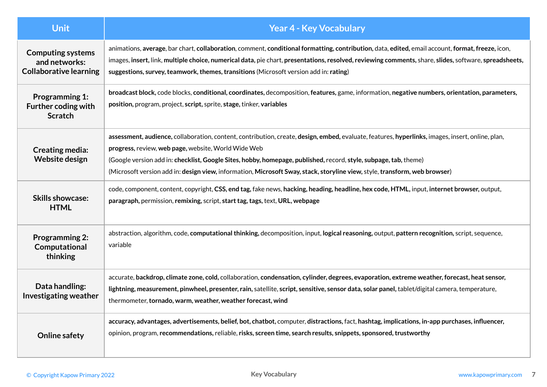<span id="page-6-0"></span>

| <b>Unit</b>                                                                | <b>Year 4 - Key Vocabulary</b>                                                                                                                                                                                                                                                                                                                                                                                                                            |
|----------------------------------------------------------------------------|-----------------------------------------------------------------------------------------------------------------------------------------------------------------------------------------------------------------------------------------------------------------------------------------------------------------------------------------------------------------------------------------------------------------------------------------------------------|
| <b>Computing systems</b><br>and networks:<br><b>Collaborative learning</b> | animations, average, bar chart, collaboration, comment, conditional formatting, contribution, data, edited, email account, format, freeze, icon,<br>images, insert, link, multiple choice, numerical data, pie chart, presentations, resolved, reviewing comments, share, slides, software, spreadsheets,<br>suggestions, survey, teamwork, themes, transitions (Microsoft version add in: rating)                                                        |
| <b>Programming 1:</b><br>Further coding with<br><b>Scratch</b>             | broadcast block, code blocks, conditional, coordinates, decomposition, features, game, information, negative numbers, orientation, parameters,<br>position, program, project, script, sprite, stage, tinker, variables                                                                                                                                                                                                                                    |
| <b>Creating media:</b><br>Website design                                   | assessment, audience, collaboration, content, contribution, create, design, embed, evaluate, features, hyperlinks, images, insert, online, plan,<br>progress, review, web page, website, World Wide Web<br>(Google version add in: checklist, Google Sites, hobby, homepage, published, record, style, subpage, tab, theme)<br>(Microsoft version add in: design view, information, Microsoft Sway, stack, storyline view, style, transform, web browser) |
| <b>Skills showcase:</b><br><b>HTML</b>                                     | code, component, content, copyright, CSS, end tag, fake news, hacking, heading, headline, hex code, HTML, input, internet browser, output,<br>paragraph, permission, remixing, script, start tag, tags, text, URL, webpage                                                                                                                                                                                                                                |
| <b>Programming 2:</b><br>Computational<br>thinking                         | abstraction, algorithm, code, computational thinking, decomposition, input, logical reasoning, output, pattern recognition, script, sequence,<br>variable                                                                                                                                                                                                                                                                                                 |
| Data handling:<br><b>Investigating weather</b>                             | accurate, backdrop, climate zone, cold, collaboration, condensation, cylinder, degrees, evaporation, extreme weather, forecast, heat sensor,<br>lightning, measurement, pinwheel, presenter, rain, satellite, script, sensitive, sensor data, solar panel, tablet/digital camera, temperature,<br>thermometer, tornado, warm, weather, weather forecast, wind                                                                                             |
| <b>Online safety</b>                                                       | accuracy, advantages, advertisements, belief, bot, chatbot, computer, distractions, fact, hashtag, implications, in-app purchases, influencer,<br>opinion, program, recommendations, reliable, risks, screen time, search results, snippets, sponsored, trustworthy                                                                                                                                                                                       |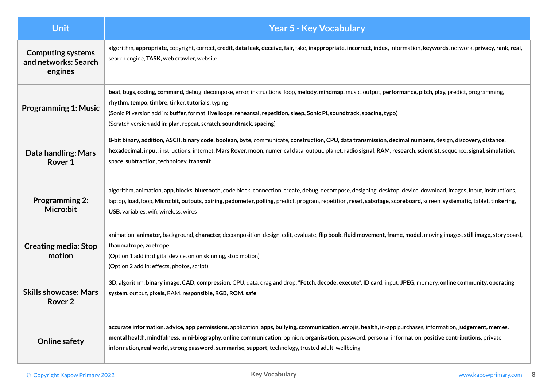<span id="page-7-0"></span>

| <b>Unit</b>                                                 | <b>Year 5 - Key Vocabulary</b>                                                                                                                                                                                                                                                                                                                                                                                                |
|-------------------------------------------------------------|-------------------------------------------------------------------------------------------------------------------------------------------------------------------------------------------------------------------------------------------------------------------------------------------------------------------------------------------------------------------------------------------------------------------------------|
| <b>Computing systems</b><br>and networks: Search<br>engines | algorithm, appropriate, copyright, correct, credit, data leak, deceive, fair, fake, inappropriate, incorrect, index, information, keywords, network, privacy, rank, real,<br>search engine, TASK, web crawler, website                                                                                                                                                                                                        |
| <b>Programming 1: Music</b>                                 | beat, bugs, coding, command, debug, decompose, error, instructions, loop, melody, mindmap, music, output, performance, pitch, play, predict, programming,<br>rhythm, tempo, timbre, tinker, tutorials, typing<br>(Sonic Pi version add in: buffer, format, live loops, rehearsal, repetition, sleep, Sonic Pi, soundtrack, spacing, typo)<br>(Scratch version add in: plan, repeat, scratch, soundtrack, spacing)             |
| Data handling: Mars<br>Rover 1                              | 8-bit binary, addition, ASCII, binary code, boolean, byte, communicate, construction, CPU, data transmission, decimal numbers, design, discovery, distance,<br>hexadecimal, input, instructions, internet, Mars Rover, moon, numerical data, output, planet, radio signal, RAM, research, scientist, sequence, signal, simulation,<br>space, subtraction, technology, transmit                                                |
| <b>Programming 2:</b><br>Micro:bit                          | algorithm, animation, app, blocks, bluetooth, code block, connection, create, debug, decompose, designing, desktop, device, download, images, input, instructions,<br>laptop, load, loop, Micro:bit, outputs, pairing, pedometer, polling, predict, program, repetition, reset, sabotage, scoreboard, screen, systematic, tablet, tinkering,<br>USB, variables, wifi, wireless, wires                                         |
| <b>Creating media: Stop</b><br>motion                       | animation, animator, background, character, decomposition, design, edit, evaluate, flip book, fluid movement, frame, model, moving images, still image, storyboard,<br>thaumatrope, zoetrope<br>(Option 1 add in: digital device, onion skinning, stop motion)<br>(Option 2 add in: effects, photos, script)                                                                                                                  |
| <b>Skills showcase: Mars</b><br>Rover <sub>2</sub>          | 3D, algorithm, binary image, CAD, compression, CPU, data, drag and drop, "Fetch, decode, execute", ID card, input, JPEG, memory, online community, operating<br>system, output, pixels, RAM, responsible, RGB, ROM, safe                                                                                                                                                                                                      |
| <b>Online safety</b>                                        | accurate information, advice, app permissions, application, apps, bullying, communication, emojis, health, in-app purchases, information, judgement, memes,<br>mental health, mindfulness, mini-biography, online communication, opinion, organisation, password, personal information, positive contributions, private<br>information, real world, strong password, summarise, support, technology, trusted adult, wellbeing |